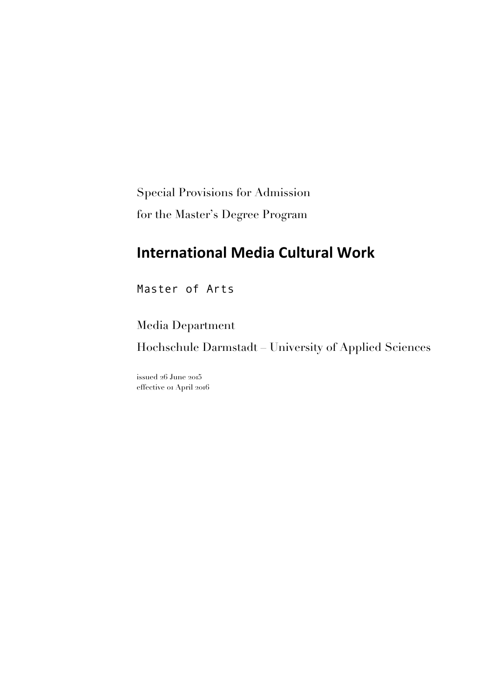Special Provisions for Admission for the Master's Degree Program

# **International Media Cultural Work**

Master of Arts

Media Department Hochschule Darmstadt – University of Applied Sciences

issued 26 June 2015 effective 01 April 2016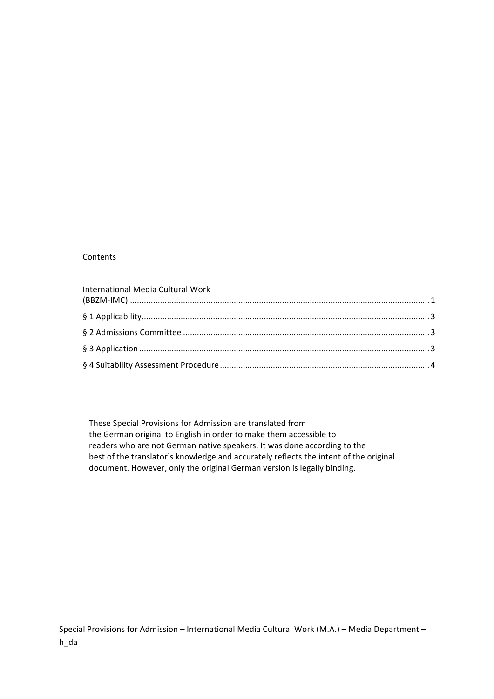#### Contents

| International Media Cultural Work |  |
|-----------------------------------|--|
|                                   |  |
|                                   |  |
|                                   |  |
|                                   |  |
|                                   |  |

These Special Provisions for Admission are translated from the German original to English in order to make them accessible to readers who are not German native speakers. It was done according to the best of the translator<sup>1</sup>s knowledge and accurately reflects the intent of the original document. However, only the original German version is legally binding.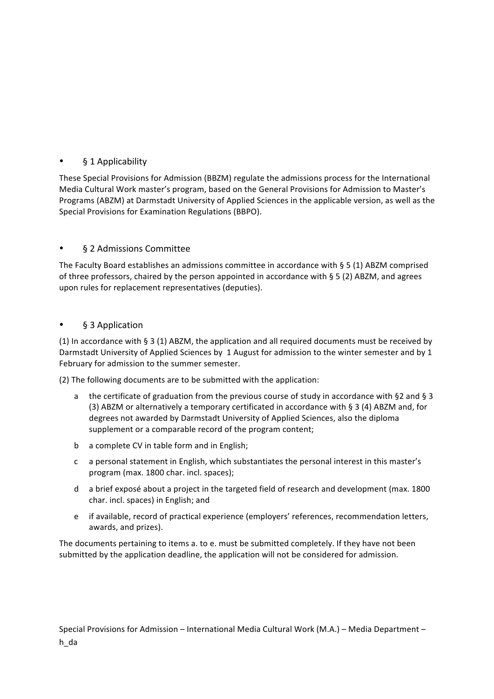# § 1 Applicability

These Special Provisions for Admission (BBZM) regulate the admissions process for the International Media Cultural Work master's program, based on the General Provisions for Admission to Master's Programs (ABZM) at Darmstadt University of Applied Sciences in the applicable version, as well as the Special Provisions for Examination Regulations (BBPO).

## • **§ 2 Admissions Committee**

The Faculty Board establishes an admissions committee in accordance with  $\S 5$  (1) ABZM comprised of three professors, chaired by the person appointed in accordance with  $\S$  5 (2) ABZM, and agrees upon rules for replacement representatives (deputies).

#### • § 3 Application

(1) In accordance with § 3 (1) ABZM, the application and all required documents must be received by Darmstadt University of Applied Sciences by 1 August for admission to the winter semester and by 1 February for admission to the summer semester.

(2) The following documents are to be submitted with the application:

- a the certificate of graduation from the previous course of study in accordance with §2 and § 3 (3) ABZM or alternatively a temporary certificated in accordance with § 3 (4) ABZM and, for degrees not awarded by Darmstadt University of Applied Sciences, also the diploma supplement or a comparable record of the program content;
- b a complete CV in table form and in English;
- c a personal statement in English, which substantiates the personal interest in this master's program (max. 1800 char. incl. spaces);
- d a brief exposé about a project in the targeted field of research and development (max. 1800 char. incl. spaces) in English; and
- e if available, record of practical experience (employers' references, recommendation letters, awards, and prizes).

The documents pertaining to items a. to e. must be submitted completely. If they have not been submitted by the application deadline, the application will not be considered for admission.